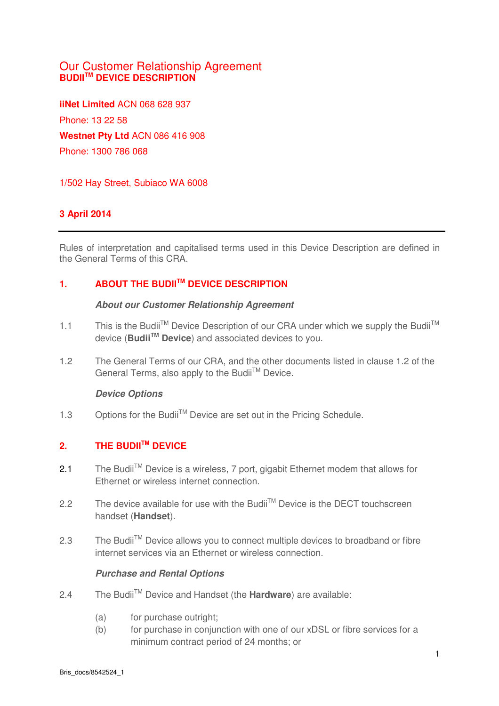# Our Customer Relationship Agreement **BUDIITM DEVICE DESCRIPTION**

**iiNet Limited** ACN 068 628 937 Phone: 13 22 58 **Westnet Pty Ltd** ACN 086 416 908 Phone: 1300 786 068

1/502 Hay Street, Subiaco WA 6008

### **3 April 2014**

Rules of interpretation and capitalised terms used in this Device Description are defined in the General Terms of this CRA.

# **1. ABOUT THE BUDIITM DEVICE DESCRIPTION**

#### **About our Customer Relationship Agreement**

- 1.1 This is the Budii<sup>TM</sup> Device Description of our CRA under which we supply the Budii<sup>TM</sup> device (**BudiiTM Device**) and associated devices to you.
- 1.2 The General Terms of our CRA, and the other documents listed in clause 1.2 of the General Terms, also apply to the Budii™ Device.

### **Device Options**

1.3 Options for the Budii<sup>TM</sup> Device are set out in the Pricing Schedule.

# **2. THE BUDIITM DEVICE**

- 2.1 The Budii<sup>TM</sup> Device is a wireless, 7 port, gigabit Ethernet modem that allows for Ethernet or wireless internet connection.
- 2.2 The device available for use with the Budii<sup>TM</sup> Device is the DECT touchscreen handset (**Handset**).
- 2.3 The Budii<sup>™</sup> Device allows you to connect multiple devices to broadband or fibre internet services via an Ethernet or wireless connection.

### **Purchase and Rental Options**

- 2.4 The BudiiTM Device and Handset (the **Hardware**) are available:
	- (a) for purchase outright;
	- (b) for purchase in conjunction with one of our xDSL or fibre services for a minimum contract period of 24 months; or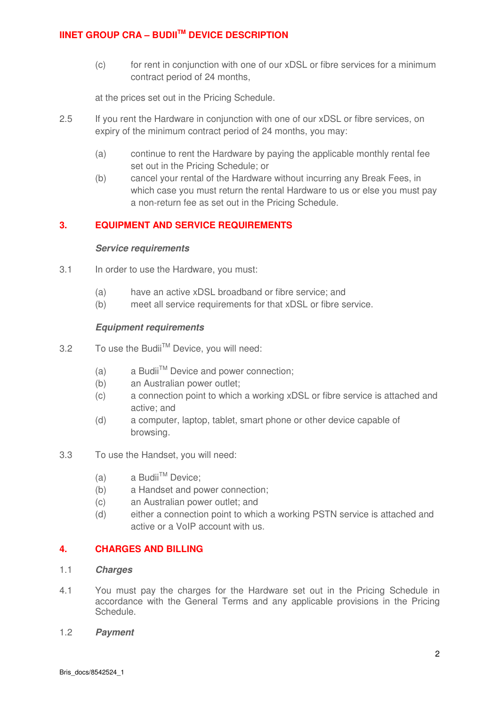# **IINET GROUP CRA – BUDIITM DEVICE DESCRIPTION**

(c) for rent in conjunction with one of our xDSL or fibre services for a minimum contract period of 24 months,

at the prices set out in the Pricing Schedule.

- 2.5 If you rent the Hardware in conjunction with one of our xDSL or fibre services, on expiry of the minimum contract period of 24 months, you may:
	- (a) continue to rent the Hardware by paying the applicable monthly rental fee set out in the Pricing Schedule; or
	- (b) cancel your rental of the Hardware without incurring any Break Fees, in which case you must return the rental Hardware to us or else you must pay a non-return fee as set out in the Pricing Schedule.

### **3. EQUIPMENT AND SERVICE REQUIREMENTS**

#### **Service requirements**

- 3.1 In order to use the Hardware, you must:
	- (a) have an active xDSL broadband or fibre service; and
	- (b) meet all service requirements for that xDSL or fibre service.

#### **Equipment requirements**

- 3.2 To use the Budii™ Device, you will need:
	- (a) a Budii<sup>TM</sup> Device and power connection;
	- (b) an Australian power outlet;
	- (c) a connection point to which a working xDSL or fibre service is attached and active; and
	- (d) a computer, laptop, tablet, smart phone or other device capable of browsing.
- 3.3 To use the Handset, you will need:
	- (a)  $a$  Budii<sup>TM</sup> Device:
	- (b) a Handset and power connection;
	- (c) an Australian power outlet; and
	- (d) either a connection point to which a working PSTN service is attached and active or a VoIP account with us.

### **4. CHARGES AND BILLING**

- 1.1 **Charges**
- 4.1 You must pay the charges for the Hardware set out in the Pricing Schedule in accordance with the General Terms and any applicable provisions in the Pricing Schedule.
- 1.2 **Payment**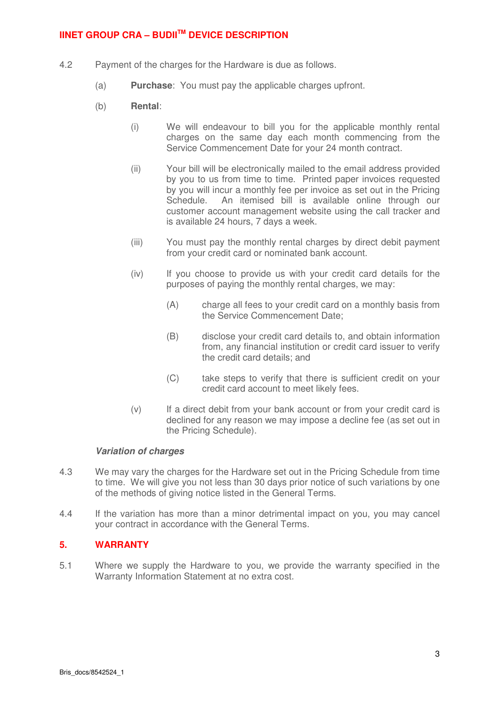# **IINET GROUP CRA – BUDIITM DEVICE DESCRIPTION**

- 4.2 Payment of the charges for the Hardware is due as follows.
	- (a) **Purchase**: You must pay the applicable charges upfront.
	- (b) **Rental**:
		- (i) We will endeavour to bill you for the applicable monthly rental charges on the same day each month commencing from the Service Commencement Date for your 24 month contract.
		- (ii) Your bill will be electronically mailed to the email address provided by you to us from time to time. Printed paper invoices requested by you will incur a monthly fee per invoice as set out in the Pricing Schedule. An itemised bill is available online through our customer account management website using the call tracker and is available 24 hours, 7 days a week.
		- (iii) You must pay the monthly rental charges by direct debit payment from your credit card or nominated bank account.
		- (iv) If you choose to provide us with your credit card details for the purposes of paying the monthly rental charges, we may:
			- (A) charge all fees to your credit card on a monthly basis from the Service Commencement Date;
			- (B) disclose your credit card details to, and obtain information from, any financial institution or credit card issuer to verify the credit card details; and
			- (C) take steps to verify that there is sufficient credit on your credit card account to meet likely fees.
		- (v) If a direct debit from your bank account or from your credit card is declined for any reason we may impose a decline fee (as set out in the Pricing Schedule).

#### **Variation of charges**

- 4.3 We may vary the charges for the Hardware set out in the Pricing Schedule from time to time. We will give you not less than 30 days prior notice of such variations by one of the methods of giving notice listed in the General Terms.
- 4.4 If the variation has more than a minor detrimental impact on you, you may cancel your contract in accordance with the General Terms.

### **5. WARRANTY**

5.1 Where we supply the Hardware to you, we provide the warranty specified in the Warranty Information Statement at no extra cost.